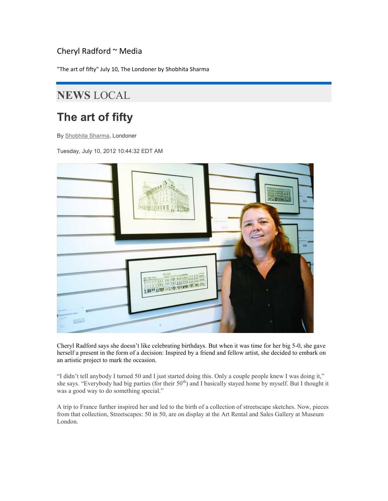## Cheryl Radford ~ Media

"The art of fifty" July 10, The Londoner by Shobhita Sharma

## NEWS LOCAL

## The art of fifty

By Shobhita Sharma, Londoner

Tuesday, July 10, 2012 10:44:32 EDT AM



Cheryl Radford says she doesn't like celebrating birthdays. But when it was time for her big 5-0, she gave herself a present in the form of a decision: Inspired by a friend and fellow artist, she decided to embark on an artistic project to mark the occasion.

"I didn't tell anybody I turned 50 and I just started doing this. Only a couple people knew I was doing it," she says. "Everybody had big parties (for their 50<sup>th</sup>) and I basically stayed home by myself. But I thought it was a good way to do something special."

A trip to France further inspired her and led to the birth of a collection of streetscape sketches. Now, pieces from that collection, Streetscapes: 50 in 50, are on display at the Art Rental and Sales Gallery at Museum London.